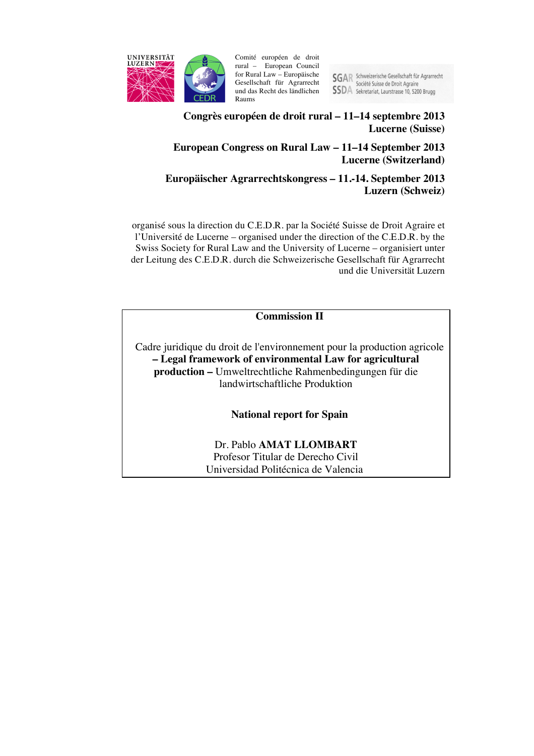

Comité européen de droit rural – European Council for Rural Law – Europäische Gesellschaft für Agrarrecht und das Recht des ländlichen Raums

SGAR Schweizerische Gesellschaft für Agrarrecht<br>Société Suisse de Droit Agraire **SSDA** Sekretariat, Laurstrasse 10, 5200 Brugg

# **Congrès européen de droit rural – 11–14 septembre 2013 Lucerne (Suisse)**

# **European Congress on Rural Law – 11–14 September 2013 Lucerne (Switzerland)**

# **Europäischer Agrarrechtskongress – 11.-14. September 2013 Luzern (Schweiz)**

organisé sous la direction du C.E.D.R. par la Société Suisse de Droit Agraire et l'Université de Lucerne – organised under the direction of the C.E.D.R. by the Swiss Society for Rural Law and the University of Lucerne – organisiert unter der Leitung des C.E.D.R. durch die Schweizerische Gesellschaft für Agrarrecht und die Universität Luzern

**Commission II**

Cadre juridique du droit de l'environnement pour la production agricole **– Legal framework of environmental Law for agricultural production –** Umweltrechtliche Rahmenbedingungen für die landwirtschaftliche Produktion

**National report for Spain**

Dr. Pablo **AMAT LLOMBART** Profesor Titular de Derecho Civil Universidad Politécnica de Valencia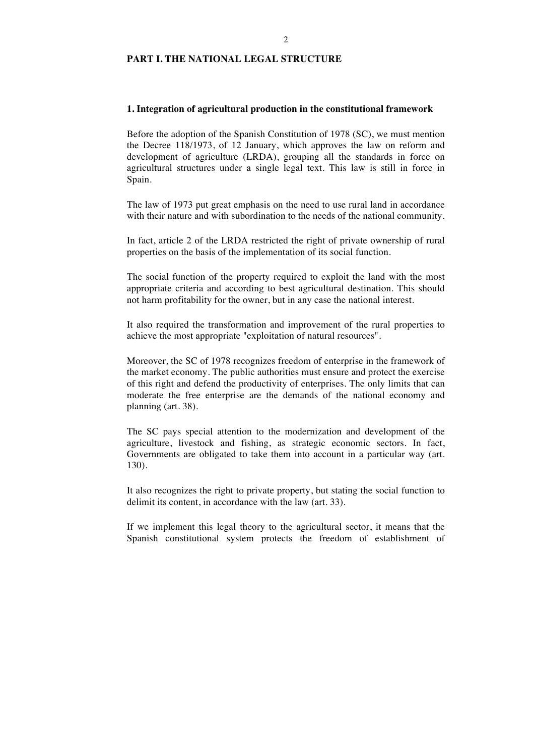# **PART I. THE NATIONAL LEGAL STRUCTURE**

#### **1. Integration of agricultural production in the constitutional framework**

Before the adoption of the Spanish Constitution of 1978 (SC), we must mention the Decree 118/1973, of 12 January, which approves the law on reform and development of agriculture (LRDA), grouping all the standards in force on agricultural structures under a single legal text. This law is still in force in Spain.

The law of 1973 put great emphasis on the need to use rural land in accordance with their nature and with subordination to the needs of the national community.

In fact, article 2 of the LRDA restricted the right of private ownership of rural properties on the basis of the implementation of its social function.

The social function of the property required to exploit the land with the most appropriate criteria and according to best agricultural destination. This should not harm profitability for the owner, but in any case the national interest.

It also required the transformation and improvement of the rural properties to achieve the most appropriate "exploitation of natural resources".

Moreover, the SC of 1978 recognizes freedom of enterprise in the framework of the market economy. The public authorities must ensure and protect the exercise of this right and defend the productivity of enterprises. The only limits that can moderate the free enterprise are the demands of the national economy and planning (art. 38).

The SC pays special attention to the modernization and development of the agriculture, livestock and fishing, as strategic economic sectors. In fact, Governments are obligated to take them into account in a particular way (art. 130).

It also recognizes the right to private property, but stating the social function to delimit its content, in accordance with the law (art. 33).

If we implement this legal theory to the agricultural sector, it means that the Spanish constitutional system protects the freedom of establishment of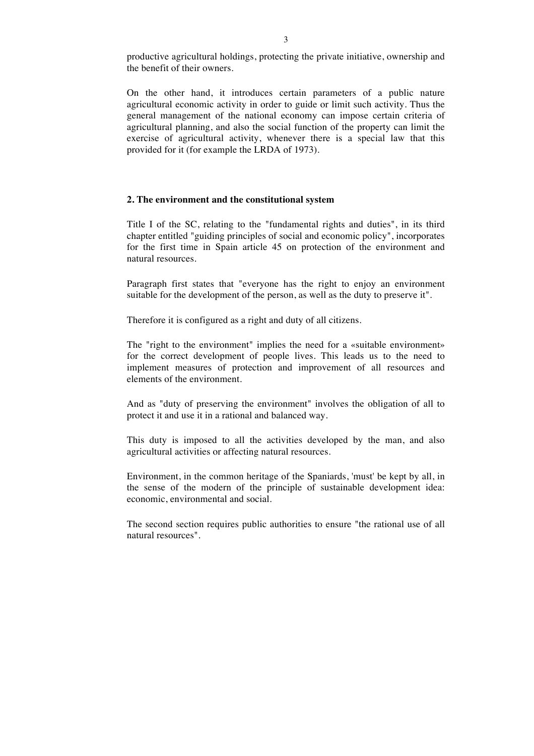productive agricultural holdings, protecting the private initiative, ownership and the benefit of their owners.

On the other hand, it introduces certain parameters of a public nature agricultural economic activity in order to guide or limit such activity. Thus the general management of the national economy can impose certain criteria of agricultural planning, and also the social function of the property can limit the exercise of agricultural activity, whenever there is a special law that this provided for it (for example the LRDA of 1973).

#### **2. The environment and the constitutional system**

Title I of the SC, relating to the "fundamental rights and duties", in its third chapter entitled "guiding principles of social and economic policy", incorporates for the first time in Spain article 45 on protection of the environment and natural resources.

Paragraph first states that "everyone has the right to enjoy an environment suitable for the development of the person, as well as the duty to preserve it".

Therefore it is configured as a right and duty of all citizens.

The "right to the environment" implies the need for a «suitable environment» for the correct development of people lives. This leads us to the need to implement measures of protection and improvement of all resources and elements of the environment.

And as "duty of preserving the environment" involves the obligation of all to protect it and use it in a rational and balanced way.

This duty is imposed to all the activities developed by the man, and also agricultural activities or affecting natural resources.

Environment, in the common heritage of the Spaniards, 'must' be kept by all, in the sense of the modern of the principle of sustainable development idea: economic, environmental and social.

The second section requires public authorities to ensure "the rational use of all natural resources".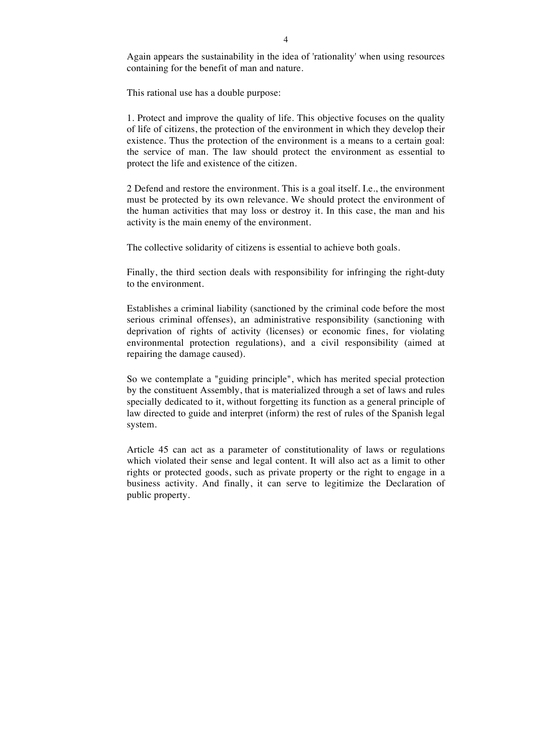Again appears the sustainability in the idea of 'rationality' when using resources containing for the benefit of man and nature.

This rational use has a double purpose:

1. Protect and improve the quality of life. This objective focuses on the quality of life of citizens, the protection of the environment in which they develop their existence. Thus the protection of the environment is a means to a certain goal: the service of man. The law should protect the environment as essential to protect the life and existence of the citizen.

2 Defend and restore the environment. This is a goal itself. I.e., the environment must be protected by its own relevance. We should protect the environment of the human activities that may loss or destroy it. In this case, the man and his activity is the main enemy of the environment.

The collective solidarity of citizens is essential to achieve both goals.

Finally, the third section deals with responsibility for infringing the right-duty to the environment.

Establishes a criminal liability (sanctioned by the criminal code before the most serious criminal offenses), an administrative responsibility (sanctioning with deprivation of rights of activity (licenses) or economic fines, for violating environmental protection regulations), and a civil responsibility (aimed at repairing the damage caused).

So we contemplate a "guiding principle", which has merited special protection by the constituent Assembly, that is materialized through a set of laws and rules specially dedicated to it, without forgetting its function as a general principle of law directed to guide and interpret (inform) the rest of rules of the Spanish legal system.

Article 45 can act as a parameter of constitutionality of laws or regulations which violated their sense and legal content. It will also act as a limit to other rights or protected goods, such as private property or the right to engage in a business activity. And finally, it can serve to legitimize the Declaration of public property.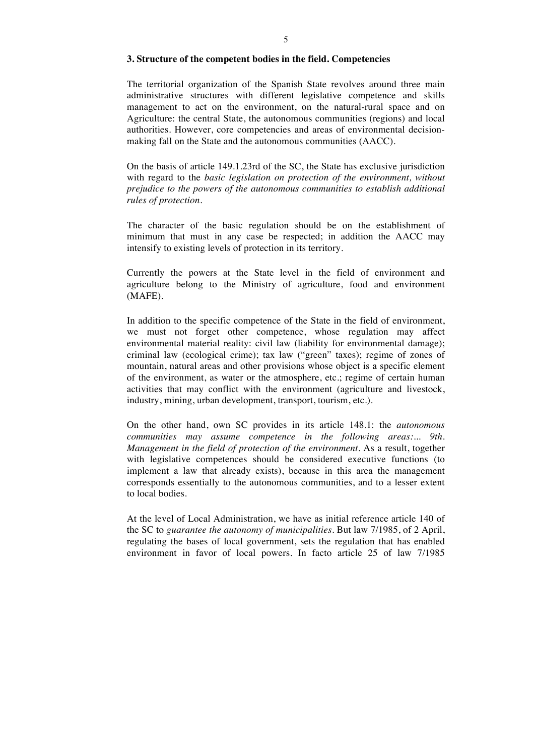#### **3. Structure of the competent bodies in the field. Competencies**

The territorial organization of the Spanish State revolves around three main administrative structures with different legislative competence and skills management to act on the environment, on the natural-rural space and on Agriculture: the central State, the autonomous communities (regions) and local authorities. However, core competencies and areas of environmental decisionmaking fall on the State and the autonomous communities (AACC).

On the basis of article 149.1.23rd of the SC, the State has exclusive jurisdiction with regard to the *basic legislation on protection of the environment, without prejudice to the powers of the autonomous communities to establish additional rules of protection.*

The character of the basic regulation should be on the establishment of minimum that must in any case be respected; in addition the AACC may intensify to existing levels of protection in its territory.

Currently the powers at the State level in the field of environment and agriculture belong to the Ministry of agriculture, food and environment (MAFE).

In addition to the specific competence of the State in the field of environment, we must not forget other competence, whose regulation may affect environmental material reality: civil law (liability for environmental damage); criminal law (ecological crime); tax law ("green" taxes); regime of zones of mountain, natural areas and other provisions whose object is a specific element of the environment, as water or the atmosphere, etc.; regime of certain human activities that may conflict with the environment (agriculture and livestock, industry, mining, urban development, transport, tourism, etc.).

On the other hand, own SC provides in its article 148.1: the *autonomous communities may assume competence in the following areas:... 9th. Management in the field of protection of the environment*. As a result, together with legislative competences should be considered executive functions (to implement a law that already exists), because in this area the management corresponds essentially to the autonomous communities, and to a lesser extent to local bodies.

At the level of Local Administration, we have as initial reference article 140 of the SC to *guarantee the autonomy of municipalities.* But law 7/1985, of 2 April, regulating the bases of local government, sets the regulation that has enabled environment in favor of local powers. In facto article 25 of law 7/1985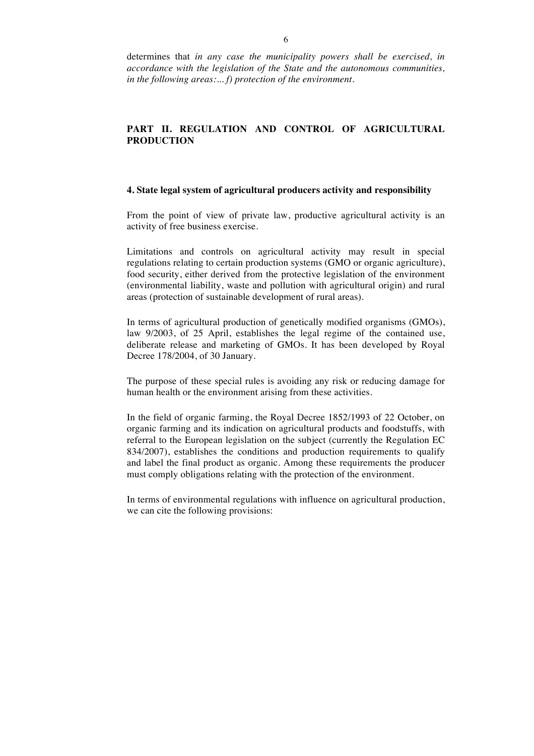determines that *in any case the municipality powers shall be exercised, in accordance with the legislation of the State and the autonomous communities, in the following areas:... f) protection of the environment.*

## **PART II. REGULATION AND CONTROL OF AGRICULTURAL PRODUCTION**

#### **4. State legal system of agricultural producers activity and responsibility**

From the point of view of private law, productive agricultural activity is an activity of free business exercise.

Limitations and controls on agricultural activity may result in special regulations relating to certain production systems (GMO or organic agriculture), food security, either derived from the protective legislation of the environment (environmental liability, waste and pollution with agricultural origin) and rural areas (protection of sustainable development of rural areas).

In terms of agricultural production of genetically modified organisms (GMOs), law 9/2003, of 25 April, establishes the legal regime of the contained use, deliberate release and marketing of GMOs. It has been developed by Royal Decree 178/2004, of 30 January.

The purpose of these special rules is avoiding any risk or reducing damage for human health or the environment arising from these activities.

In the field of organic farming, the Royal Decree 1852/1993 of 22 October, on organic farming and its indication on agricultural products and foodstuffs, with referral to the European legislation on the subject (currently the Regulation EC 834/2007), establishes the conditions and production requirements to qualify and label the final product as organic. Among these requirements the producer must comply obligations relating with the protection of the environment.

In terms of environmental regulations with influence on agricultural production, we can cite the following provisions: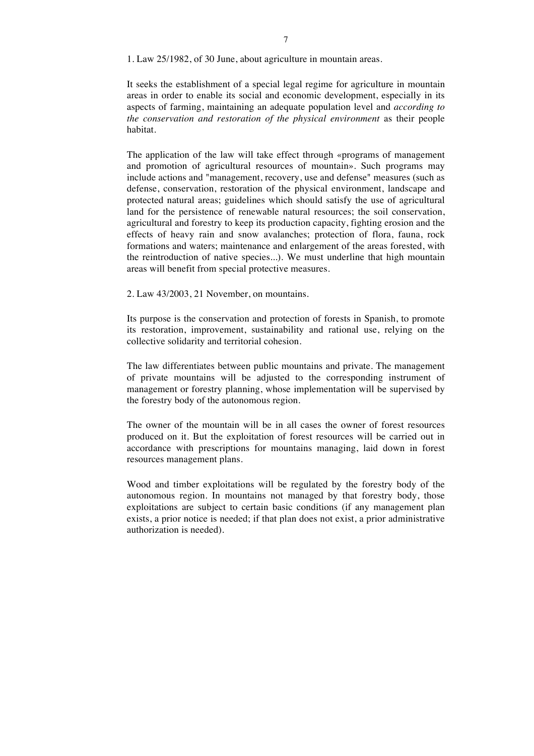1. Law 25/1982, of 30 June, about agriculture in mountain areas.

It seeks the establishment of a special legal regime for agriculture in mountain areas in order to enable its social and economic development, especially in its aspects of farming, maintaining an adequate population level and *according to the conservation and restoration of the physical environment* as their people habitat.

The application of the law will take effect through «programs of management and promotion of agricultural resources of mountain». Such programs may include actions and "management, recovery, use and defense" measures (such as defense, conservation, restoration of the physical environment, landscape and protected natural areas; guidelines which should satisfy the use of agricultural land for the persistence of renewable natural resources; the soil conservation, agricultural and forestry to keep its production capacity, fighting erosion and the effects of heavy rain and snow avalanches; protection of flora, fauna, rock formations and waters; maintenance and enlargement of the areas forested, with the reintroduction of native species...). We must underline that high mountain areas will benefit from special protective measures.

2. Law 43/2003, 21 November, on mountains.

Its purpose is the conservation and protection of forests in Spanish, to promote its restoration, improvement, sustainability and rational use, relying on the collective solidarity and territorial cohesion.

The law differentiates between public mountains and private. The management of private mountains will be adjusted to the corresponding instrument of management or forestry planning, whose implementation will be supervised by the forestry body of the autonomous region.

The owner of the mountain will be in all cases the owner of forest resources produced on it. But the exploitation of forest resources will be carried out in accordance with prescriptions for mountains managing, laid down in forest resources management plans.

Wood and timber exploitations will be regulated by the forestry body of the autonomous region. In mountains not managed by that forestry body, those exploitations are subject to certain basic conditions (if any management plan exists, a prior notice is needed; if that plan does not exist, a prior administrative authorization is needed).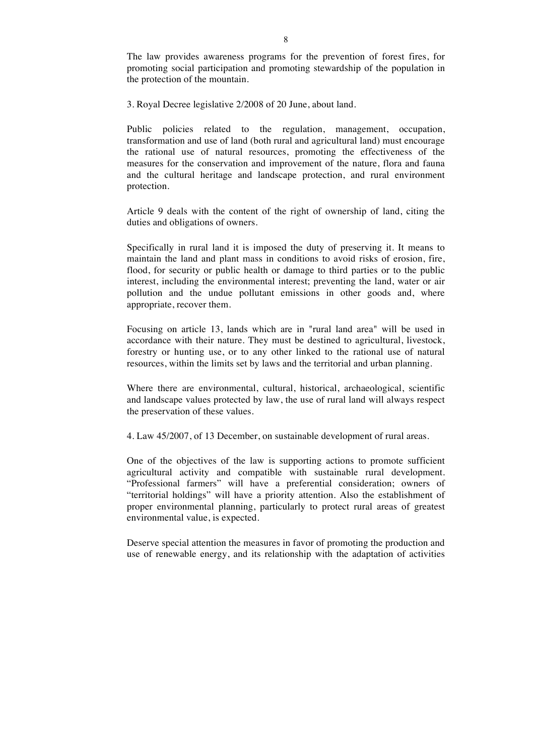The law provides awareness programs for the prevention of forest fires, for promoting social participation and promoting stewardship of the population in the protection of the mountain.

3. Royal Decree legislative 2/2008 of 20 June, about land.

Public policies related to the regulation, management, occupation, transformation and use of land (both rural and agricultural land) must encourage the rational use of natural resources, promoting the effectiveness of the measures for the conservation and improvement of the nature, flora and fauna and the cultural heritage and landscape protection, and rural environment protection.

Article 9 deals with the content of the right of ownership of land, citing the duties and obligations of owners.

Specifically in rural land it is imposed the duty of preserving it. It means to maintain the land and plant mass in conditions to avoid risks of erosion, fire, flood, for security or public health or damage to third parties or to the public interest, including the environmental interest; preventing the land, water or air pollution and the undue pollutant emissions in other goods and, where appropriate, recover them.

Focusing on article 13, lands which are in "rural land area" will be used in accordance with their nature. They must be destined to agricultural, livestock, forestry or hunting use, or to any other linked to the rational use of natural resources, within the limits set by laws and the territorial and urban planning.

Where there are environmental, cultural, historical, archaeological, scientific and landscape values protected by law, the use of rural land will always respect the preservation of these values.

4. Law 45/2007, of 13 December, on sustainable development of rural areas.

One of the objectives of the law is supporting actions to promote sufficient agricultural activity and compatible with sustainable rural development. "Professional farmers" will have a preferential consideration; owners of "territorial holdings" will have a priority attention. Also the establishment of proper environmental planning, particularly to protect rural areas of greatest environmental value, is expected.

Deserve special attention the measures in favor of promoting the production and use of renewable energy, and its relationship with the adaptation of activities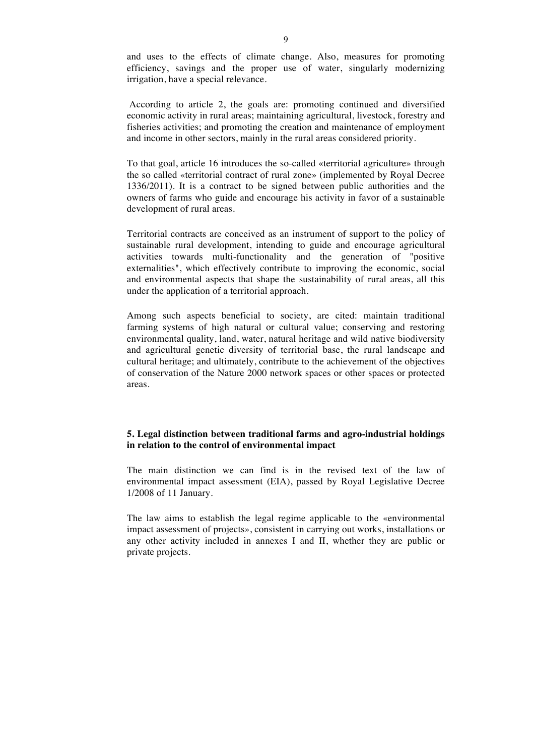and uses to the effects of climate change. Also, measures for promoting efficiency, savings and the proper use of water, singularly modernizing irrigation, have a special relevance.

According to article 2, the goals are: promoting continued and diversified economic activity in rural areas; maintaining agricultural, livestock, forestry and fisheries activities; and promoting the creation and maintenance of employment and income in other sectors, mainly in the rural areas considered priority.

To that goal, article 16 introduces the so-called «territorial agriculture» through the so called «territorial contract of rural zone» (implemented by Royal Decree 1336/2011). It is a contract to be signed between public authorities and the owners of farms who guide and encourage his activity in favor of a sustainable development of rural areas.

Territorial contracts are conceived as an instrument of support to the policy of sustainable rural development, intending to guide and encourage agricultural activities towards multi-functionality and the generation of "positive externalities", which effectively contribute to improving the economic, social and environmental aspects that shape the sustainability of rural areas, all this under the application of a territorial approach.

Among such aspects beneficial to society, are cited: maintain traditional farming systems of high natural or cultural value; conserving and restoring environmental quality, land, water, natural heritage and wild native biodiversity and agricultural genetic diversity of territorial base, the rural landscape and cultural heritage; and ultimately, contribute to the achievement of the objectives of conservation of the Nature 2000 network spaces or other spaces or protected areas.

# **5. Legal distinction between traditional farms and agro-industrial holdings in relation to the control of environmental impact**

The main distinction we can find is in the revised text of the law of environmental impact assessment (EIA), passed by Royal Legislative Decree 1/2008 of 11 January.

The law aims to establish the legal regime applicable to the «environmental impact assessment of projects», consistent in carrying out works, installations or any other activity included in annexes I and II, whether they are public or private projects.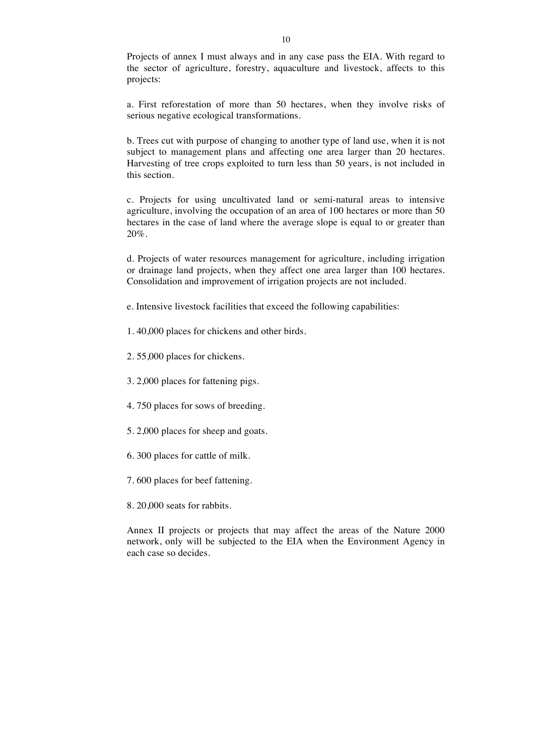Projects of annex I must always and in any case pass the EIA. With regard to the sector of agriculture, forestry, aquaculture and livestock, affects to this projects:

a. First reforestation of more than 50 hectares, when they involve risks of serious negative ecological transformations.

b. Trees cut with purpose of changing to another type of land use, when it is not subject to management plans and affecting one area larger than 20 hectares. Harvesting of tree crops exploited to turn less than 50 years, is not included in this section.

c. Projects for using uncultivated land or semi-natural areas to intensive agriculture, involving the occupation of an area of 100 hectares or more than 50 hectares in the case of land where the average slope is equal to or greater than 20%.

d. Projects of water resources management for agriculture, including irrigation or drainage land projects, when they affect one area larger than 100 hectares. Consolidation and improvement of irrigation projects are not included.

e. Intensive livestock facilities that exceed the following capabilities:

1. 40,000 places for chickens and other birds.

2. 55,000 places for chickens.

3. 2,000 places for fattening pigs.

4. 750 places for sows of breeding.

5. 2,000 places for sheep and goats.

6. 300 places for cattle of milk.

7. 600 places for beef fattening.

8. 20,000 seats for rabbits.

Annex II projects or projects that may affect the areas of the Nature 2000 network, only will be subjected to the EIA when the Environment Agency in each case so decides.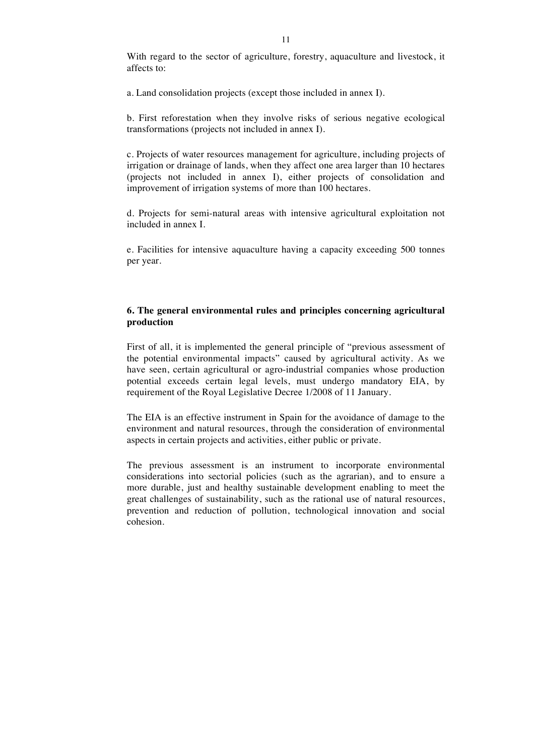With regard to the sector of agriculture, forestry, aquaculture and livestock, it affects to:

a. Land consolidation projects (except those included in annex I).

b. First reforestation when they involve risks of serious negative ecological transformations (projects not included in annex I).

c. Projects of water resources management for agriculture, including projects of irrigation or drainage of lands, when they affect one area larger than 10 hectares (projects not included in annex I), either projects of consolidation and improvement of irrigation systems of more than 100 hectares.

d. Projects for semi-natural areas with intensive agricultural exploitation not included in annex I.

e. Facilities for intensive aquaculture having a capacity exceeding 500 tonnes per year.

## **6. The general environmental rules and principles concerning agricultural production**

First of all, it is implemented the general principle of "previous assessment of the potential environmental impacts" caused by agricultural activity. As we have seen, certain agricultural or agro-industrial companies whose production potential exceeds certain legal levels, must undergo mandatory EIA, by requirement of the Royal Legislative Decree 1/2008 of 11 January.

The EIA is an effective instrument in Spain for the avoidance of damage to the environment and natural resources, through the consideration of environmental aspects in certain projects and activities, either public or private.

The previous assessment is an instrument to incorporate environmental considerations into sectorial policies (such as the agrarian), and to ensure a more durable, just and healthy sustainable development enabling to meet the great challenges of sustainability, such as the rational use of natural resources, prevention and reduction of pollution, technological innovation and social cohesion.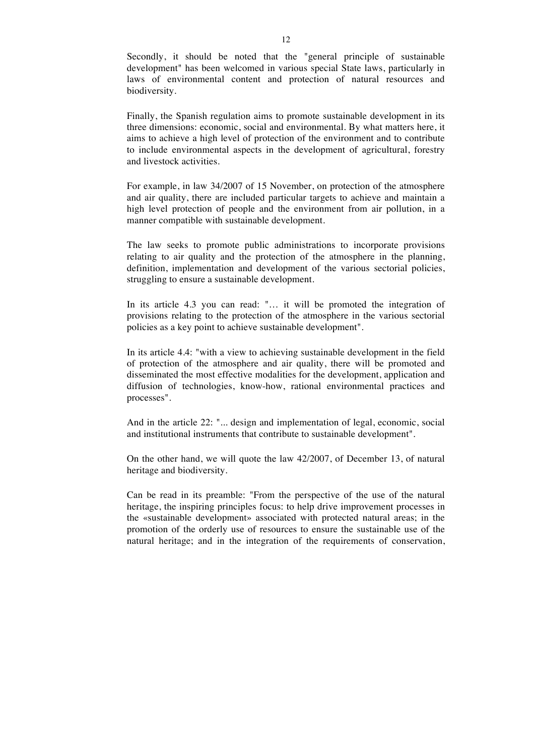Secondly, it should be noted that the "general principle of sustainable development" has been welcomed in various special State laws, particularly in laws of environmental content and protection of natural resources and biodiversity.

Finally, the Spanish regulation aims to promote sustainable development in its three dimensions: economic, social and environmental. By what matters here, it aims to achieve a high level of protection of the environment and to contribute to include environmental aspects in the development of agricultural, forestry and livestock activities.

For example, in law 34/2007 of 15 November, on protection of the atmosphere and air quality, there are included particular targets to achieve and maintain a high level protection of people and the environment from air pollution, in a manner compatible with sustainable development.

The law seeks to promote public administrations to incorporate provisions relating to air quality and the protection of the atmosphere in the planning, definition, implementation and development of the various sectorial policies, struggling to ensure a sustainable development.

In its article 4.3 you can read: "... it will be promoted the integration of provisions relating to the protection of the atmosphere in the various sectorial policies as a key point to achieve sustainable development".

In its article 4.4: "with a view to achieving sustainable development in the field of protection of the atmosphere and air quality, there will be promoted and disseminated the most effective modalities for the development, application and diffusion of technologies, know-how, rational environmental practices and processes".

And in the article 22: "... design and implementation of legal, economic, social and institutional instruments that contribute to sustainable development".

On the other hand, we will quote the law 42/2007, of December 13, of natural heritage and biodiversity.

Can be read in its preamble: "From the perspective of the use of the natural heritage, the inspiring principles focus: to help drive improvement processes in the «sustainable development» associated with protected natural areas; in the promotion of the orderly use of resources to ensure the sustainable use of the natural heritage; and in the integration of the requirements of conservation,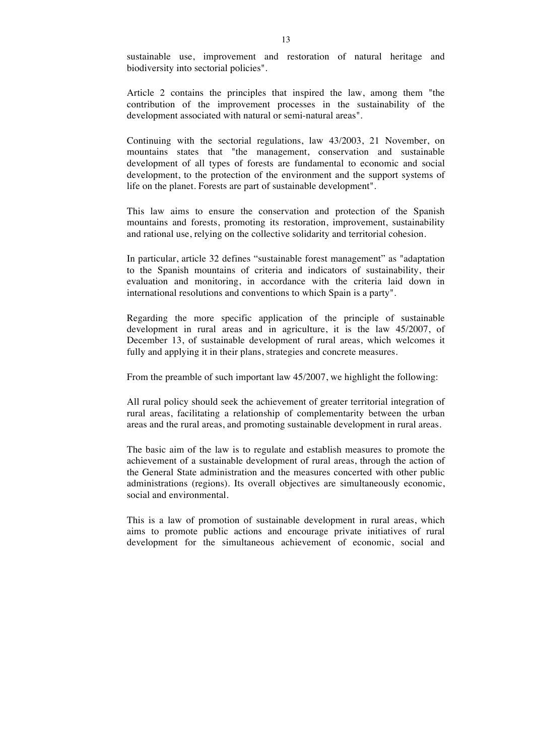sustainable use, improvement and restoration of natural heritage and biodiversity into sectorial policies".

Article 2 contains the principles that inspired the law, among them "the contribution of the improvement processes in the sustainability of the development associated with natural or semi-natural areas".

Continuing with the sectorial regulations, law 43/2003, 21 November, on mountains states that "the management, conservation and sustainable development of all types of forests are fundamental to economic and social development, to the protection of the environment and the support systems of life on the planet. Forests are part of sustainable development".

This law aims to ensure the conservation and protection of the Spanish mountains and forests, promoting its restoration, improvement, sustainability and rational use, relying on the collective solidarity and territorial cohesion.

In particular, article 32 defines "sustainable forest management" as "adaptation to the Spanish mountains of criteria and indicators of sustainability, their evaluation and monitoring, in accordance with the criteria laid down in international resolutions and conventions to which Spain is a party".

Regarding the more specific application of the principle of sustainable development in rural areas and in agriculture, it is the law 45/2007, of December 13, of sustainable development of rural areas, which welcomes it fully and applying it in their plans, strategies and concrete measures.

From the preamble of such important law 45/2007, we highlight the following:

All rural policy should seek the achievement of greater territorial integration of rural areas, facilitating a relationship of complementarity between the urban areas and the rural areas, and promoting sustainable development in rural areas.

The basic aim of the law is to regulate and establish measures to promote the achievement of a sustainable development of rural areas, through the action of the General State administration and the measures concerted with other public administrations (regions). Its overall objectives are simultaneously economic, social and environmental.

This is a law of promotion of sustainable development in rural areas, which aims to promote public actions and encourage private initiatives of rural development for the simultaneous achievement of economic, social and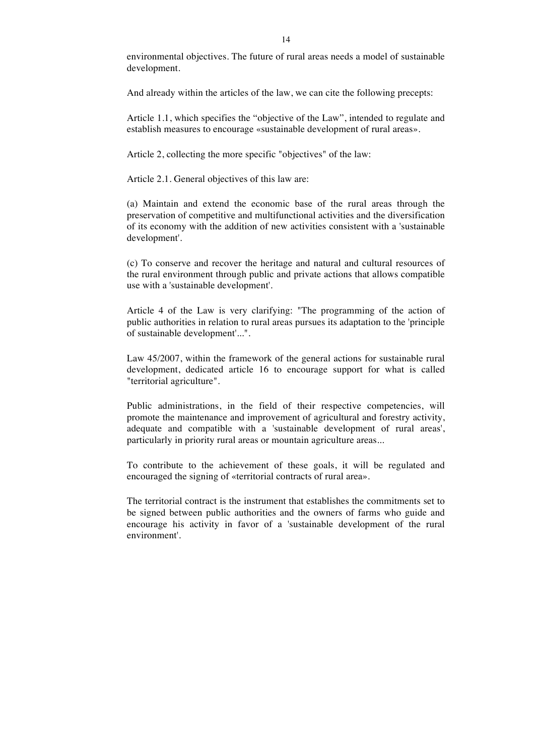environmental objectives. The future of rural areas needs a model of sustainable development.

And already within the articles of the law, we can cite the following precepts:

Article 1.1, which specifies the "objective of the Law", intended to regulate and establish measures to encourage «sustainable development of rural areas».

Article 2, collecting the more specific "objectives" of the law:

Article 2.1. General objectives of this law are:

(a) Maintain and extend the economic base of the rural areas through the preservation of competitive and multifunctional activities and the diversification of its economy with the addition of new activities consistent with a 'sustainable development'.

(c) To conserve and recover the heritage and natural and cultural resources of the rural environment through public and private actions that allows compatible use with a 'sustainable development'.

Article 4 of the Law is very clarifying: "The programming of the action of public authorities in relation to rural areas pursues its adaptation to the 'principle of sustainable development'...".

Law 45/2007, within the framework of the general actions for sustainable rural development, dedicated article 16 to encourage support for what is called "territorial agriculture".

Public administrations, in the field of their respective competencies, will promote the maintenance and improvement of agricultural and forestry activity, adequate and compatible with a 'sustainable development of rural areas', particularly in priority rural areas or mountain agriculture areas...

To contribute to the achievement of these goals, it will be regulated and encouraged the signing of «territorial contracts of rural area».

The territorial contract is the instrument that establishes the commitments set to be signed between public authorities and the owners of farms who guide and encourage his activity in favor of a 'sustainable development of the rural environment'.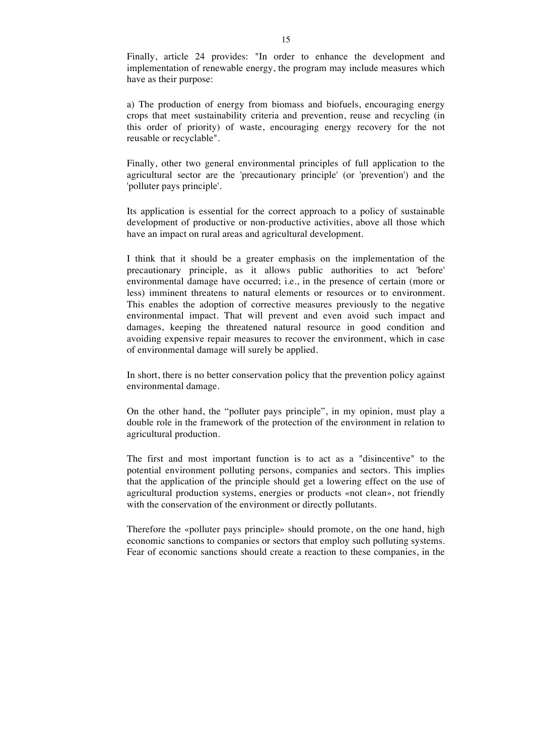Finally, article 24 provides: "In order to enhance the development and implementation of renewable energy, the program may include measures which have as their purpose:

a) The production of energy from biomass and biofuels, encouraging energy crops that meet sustainability criteria and prevention, reuse and recycling (in this order of priority) of waste, encouraging energy recovery for the not reusable or recyclable".

Finally, other two general environmental principles of full application to the agricultural sector are the 'precautionary principle' (or 'prevention') and the 'polluter pays principle'.

Its application is essential for the correct approach to a policy of sustainable development of productive or non-productive activities, above all those which have an impact on rural areas and agricultural development.

I think that it should be a greater emphasis on the implementation of the precautionary principle, as it allows public authorities to act 'before' environmental damage have occurred; i.e., in the presence of certain (more or less) imminent threatens to natural elements or resources or to environment. This enables the adoption of corrective measures previously to the negative environmental impact. That will prevent and even avoid such impact and damages, keeping the threatened natural resource in good condition and avoiding expensive repair measures to recover the environment, which in case of environmental damage will surely be applied.

In short, there is no better conservation policy that the prevention policy against environmental damage.

On the other hand, the "polluter pays principle", in my opinion, must play a double role in the framework of the protection of the environment in relation to agricultural production.

The first and most important function is to act as a "disincentive" to the potential environment polluting persons, companies and sectors. This implies that the application of the principle should get a lowering effect on the use of agricultural production systems, energies or products «not clean», not friendly with the conservation of the environment or directly pollutants.

Therefore the «polluter pays principle» should promote, on the one hand, high economic sanctions to companies or sectors that employ such polluting systems. Fear of economic sanctions should create a reaction to these companies, in the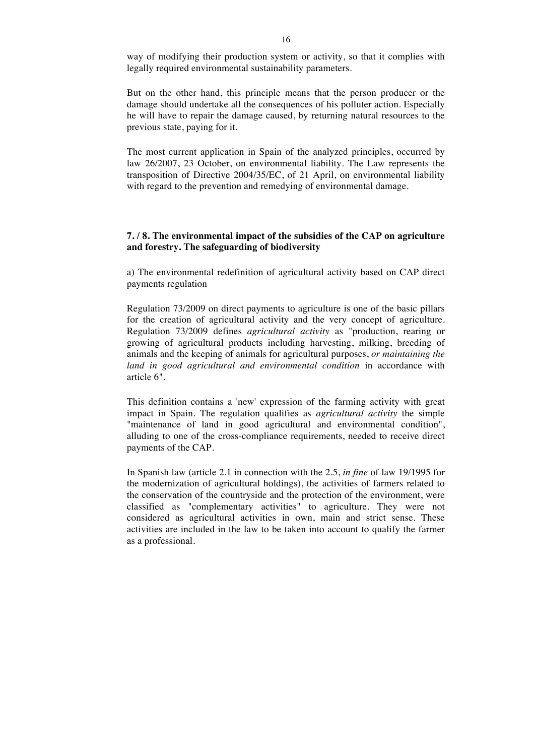way of modifying their production system or activity, so that it complies with legally required environmental sustainability parameters.

But on the other hand, this principle means that the person producer or the damage should undertake all the consequences of his polluter action. Especially he will have to repair the damage caused, by returning natural resources to the previous state, paying for it.

The most current application in Spain of the analyzed principles, occurred by law 26/2007, 23 October, on environmental liability. The Law represents the transposition of Directive 2004/35/EC, of 21 April, on environmental liability with regard to the prevention and remedying of environmental damage.

### **7. / 8. The environmental impact of the subsidies of the CAP on agriculture and forestry. The safeguarding of biodiversity**

a) The environmental redefinition of agricultural activity based on CAP direct payments regulation

Regulation 73/2009 on direct payments to agriculture is one of the basic pillars for the creation of agricultural activity and the very concept of agriculture. Regulation 73/2009 defines *agricultural activity* as "production, rearing or growing of agricultural products including harvesting, milking, breeding of animals and the keeping of animals for agricultural purposes, *or maintaining the land in good agricultural and environmental condition* in accordance with article 6".

This definition contains a 'new' expression of the farming activity with great impact in Spain. The regulation qualifies as *agricultural activity* the simple "maintenance of land in good agricultural and environmental condition", alluding to one of the cross-compliance requirements, needed to receive direct payments of the CAP.

In Spanish law (article 2.1 in connection with the 2.5, *in fine* of law 19/1995 for the modernization of agricultural holdings), the activities of farmers related to the conservation of the countryside and the protection of the environment, were classified as "complementary activities" to agriculture. They were not considered as agricultural activities in own, main and strict sense. These activities are included in the law to be taken into account to qualify the farmer as a professional.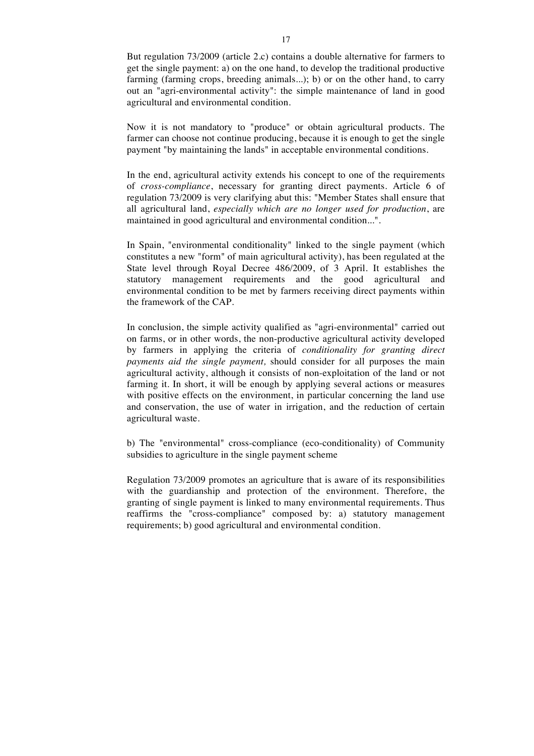But regulation 73/2009 (article 2.c) contains a double alternative for farmers to get the single payment: a) on the one hand, to develop the traditional productive farming (farming crops, breeding animals...); b) or on the other hand, to carry out an "agri-environmental activity": the simple maintenance of land in good agricultural and environmental condition.

Now it is not mandatory to "produce" or obtain agricultural products. The farmer can choose not continue producing, because it is enough to get the single payment "by maintaining the lands" in acceptable environmental conditions.

In the end, agricultural activity extends his concept to one of the requirements of *cross-compliance*, necessary for granting direct payments. Article 6 of regulation 73/2009 is very clarifying abut this: "Member States shall ensure that all agricultural land, *especially which are no longer used for production*, are maintained in good agricultural and environmental condition...".

In Spain, "environmental conditionality" linked to the single payment (which constitutes a new "form" of main agricultural activity), has been regulated at the State level through Royal Decree 486/2009, of 3 April. It establishes the statutory management requirements and the good agricultural and environmental condition to be met by farmers receiving direct payments within the framework of the CAP.

In conclusion, the simple activity qualified as "agri-environmental" carried out on farms, or in other words, the non-productive agricultural activity developed by farmers in applying the criteria of *conditionality for granting direct payments aid the single payment,* should consider for all purposes the main agricultural activity, although it consists of non-exploitation of the land or not farming it. In short, it will be enough by applying several actions or measures with positive effects on the environment, in particular concerning the land use and conservation, the use of water in irrigation, and the reduction of certain agricultural waste.

b) The "environmental" cross-compliance (eco-conditionality) of Community subsidies to agriculture in the single payment scheme

Regulation 73/2009 promotes an agriculture that is aware of its responsibilities with the guardianship and protection of the environment. Therefore, the granting of single payment is linked to many environmental requirements. Thus reaffirms the "cross-compliance" composed by: a) statutory management requirements; b) good agricultural and environmental condition.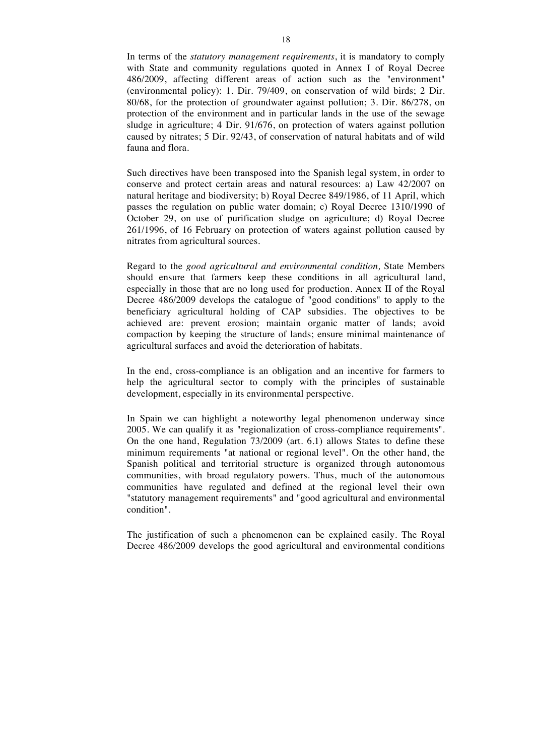In terms of the *statutory management requirements*, it is mandatory to comply with State and community regulations quoted in Annex I of Royal Decree 486/2009, affecting different areas of action such as the "environment" (environmental policy): 1. Dir. 79/409, on conservation of wild birds; 2 Dir. 80/68, for the protection of groundwater against pollution; 3. Dir. 86/278, on protection of the environment and in particular lands in the use of the sewage sludge in agriculture; 4 Dir. 91/676, on protection of waters against pollution caused by nitrates; 5 Dir. 92/43, of conservation of natural habitats and of wild fauna and flora.

Such directives have been transposed into the Spanish legal system, in order to conserve and protect certain areas and natural resources: a) Law 42/2007 on natural heritage and biodiversity; b) Royal Decree 849/1986, of 11 April, which passes the regulation on public water domain; c) Royal Decree 1310/1990 of October 29, on use of purification sludge on agriculture; d) Royal Decree 261/1996, of 16 February on protection of waters against pollution caused by nitrates from agricultural sources.

Regard to the *good agricultural and environmental condition,* State Members should ensure that farmers keep these conditions in all agricultural land, especially in those that are no long used for production. Annex II of the Royal Decree 486/2009 develops the catalogue of "good conditions" to apply to the beneficiary agricultural holding of CAP subsidies. The objectives to be achieved are: prevent erosion; maintain organic matter of lands; avoid compaction by keeping the structure of lands; ensure minimal maintenance of agricultural surfaces and avoid the deterioration of habitats.

In the end, cross-compliance is an obligation and an incentive for farmers to help the agricultural sector to comply with the principles of sustainable development, especially in its environmental perspective.

In Spain we can highlight a noteworthy legal phenomenon underway since 2005. We can qualify it as "regionalization of cross-compliance requirements". On the one hand, Regulation 73/2009 (art. 6.1) allows States to define these minimum requirements "at national or regional level". On the other hand, the Spanish political and territorial structure is organized through autonomous communities, with broad regulatory powers. Thus, much of the autonomous communities have regulated and defined at the regional level their own "statutory management requirements" and "good agricultural and environmental condition".

The justification of such a phenomenon can be explained easily. The Royal Decree 486/2009 develops the good agricultural and environmental conditions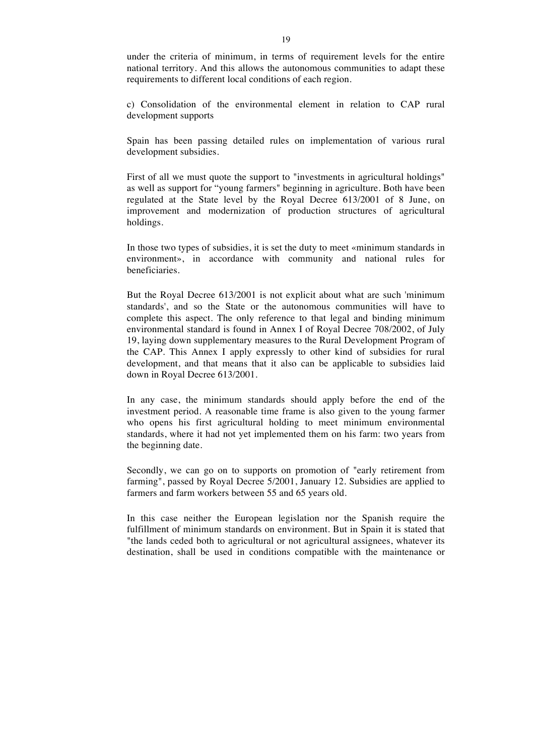under the criteria of minimum, in terms of requirement levels for the entire national territory. And this allows the autonomous communities to adapt these requirements to different local conditions of each region.

c) Consolidation of the environmental element in relation to CAP rural development supports

Spain has been passing detailed rules on implementation of various rural development subsidies.

First of all we must quote the support to "investments in agricultural holdings" as well as support for "young farmers" beginning in agriculture. Both have been regulated at the State level by the Royal Decree 613/2001 of 8 June, on improvement and modernization of production structures of agricultural holdings.

In those two types of subsidies, it is set the duty to meet «minimum standards in environment», in accordance with community and national rules for beneficiaries.

But the Royal Decree 613/2001 is not explicit about what are such 'minimum standards', and so the State or the autonomous communities will have to complete this aspect. The only reference to that legal and binding minimum environmental standard is found in Annex I of Royal Decree 708/2002, of July 19, laying down supplementary measures to the Rural Development Program of the CAP. This Annex I apply expressly to other kind of subsidies for rural development, and that means that it also can be applicable to subsidies laid down in Royal Decree 613/2001.

In any case, the minimum standards should apply before the end of the investment period. A reasonable time frame is also given to the young farmer who opens his first agricultural holding to meet minimum environmental standards, where it had not yet implemented them on his farm: two years from the beginning date.

Secondly, we can go on to supports on promotion of "early retirement from farming", passed by Royal Decree 5/2001, January 12. Subsidies are applied to farmers and farm workers between 55 and 65 years old.

In this case neither the European legislation nor the Spanish require the fulfillment of minimum standards on environment. But in Spain it is stated that "the lands ceded both to agricultural or not agricultural assignees, whatever its destination, shall be used in conditions compatible with the maintenance or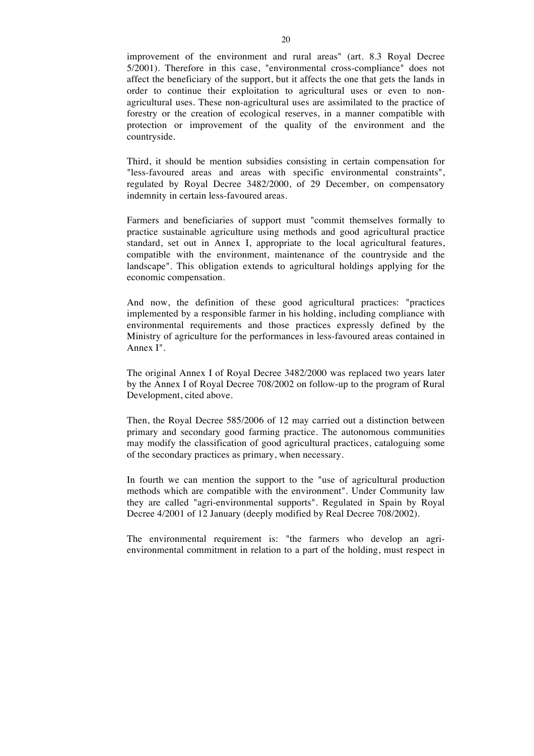improvement of the environment and rural areas" (art. 8.3 Royal Decree 5/2001). Therefore in this case, "environmental cross-compliance" does not affect the beneficiary of the support, but it affects the one that gets the lands in order to continue their exploitation to agricultural uses or even to nonagricultural uses. These non-agricultural uses are assimilated to the practice of forestry or the creation of ecological reserves, in a manner compatible with protection or improvement of the quality of the environment and the countryside.

Third, it should be mention subsidies consisting in certain compensation for "less-favoured areas and areas with specific environmental constraints", regulated by Royal Decree 3482/2000, of 29 December, on compensatory indemnity in certain less-favoured areas.

Farmers and beneficiaries of support must "commit themselves formally to practice sustainable agriculture using methods and good agricultural practice standard, set out in Annex I, appropriate to the local agricultural features, compatible with the environment, maintenance of the countryside and the landscape". This obligation extends to agricultural holdings applying for the economic compensation.

And now, the definition of these good agricultural practices: "practices implemented by a responsible farmer in his holding, including compliance with environmental requirements and those practices expressly defined by the Ministry of agriculture for the performances in less-favoured areas contained in Annex I".

The original Annex I of Royal Decree 3482/2000 was replaced two years later by the Annex I of Royal Decree 708/2002 on follow-up to the program of Rural Development, cited above.

Then, the Royal Decree 585/2006 of 12 may carried out a distinction between primary and secondary good farming practice. The autonomous communities may modify the classification of good agricultural practices, cataloguing some of the secondary practices as primary, when necessary.

In fourth we can mention the support to the "use of agricultural production methods which are compatible with the environment". Under Community law they are called "agri-environmental supports". Regulated in Spain by Royal Decree 4/2001 of 12 January (deeply modified by Real Decree 708/2002).

The environmental requirement is: "the farmers who develop an agrienvironmental commitment in relation to a part of the holding, must respect in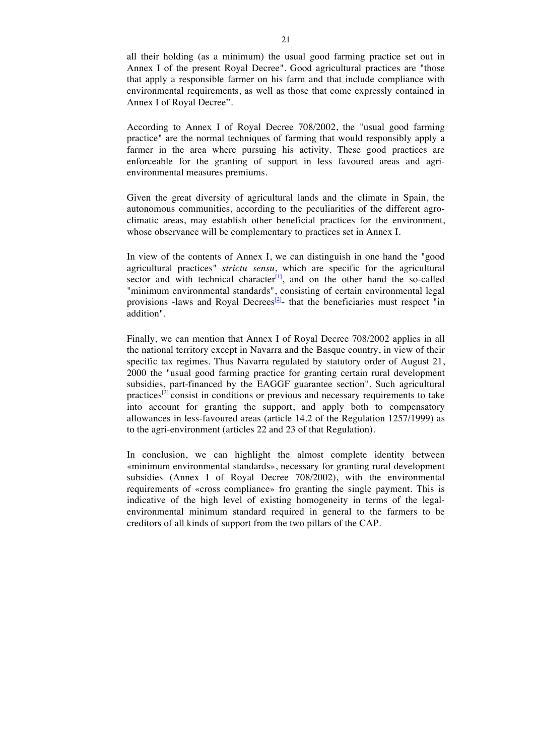all their holding (as a minimum) the usual good farming practice set out in Annex I of the present Royal Decree". Good agricultural practices are "those that apply a responsible farmer on his farm and that include compliance with environmental requirements, as well as those that come expressly contained in Annex I of Royal Decree".

According to Annex I of Royal Decree 708/2002, the "usual good farming practice" are the normal techniques of farming that would responsibly apply a farmer in the area where pursuing his activity. These good practices are enforceable for the granting of support in less favoured areas and agrienvironmental measures premiums.

Given the great diversity of agricultural lands and the climate in Spain, the autonomous communities, according to the peculiarities of the different agroclimatic areas, may establish other beneficial practices for the environment, whose observance will be complementary to practices set in Annex I.

In view of the contents of Annex I, we can distinguish in one hand the "good agricultural practices" *strictu sensu*, which are specific for the agricultural sector and with technical character<sup>[1]</sup>, and on the other hand the so-called "minimum environmental standards", consisting of certain environmental legal provisions -laws and Royal Decrees<sup>[2]</sup>- that the beneficiaries must respect "in addition".

Finally, we can mention that Annex I of Royal Decree 708/2002 applies in all the national territory except in Navarra and the Basque country, in view of their specific tax regimes. Thus Navarra regulated by statutory order of August 21, 2000 the "usual good farming practice for granting certain rural development subsidies, part-financed by the EAGGF guarantee section". Such agricultural practices<sup>[3]</sup> consist in conditions or previous and necessary requirements to take into account for granting the support, and apply both to compensatory allowances in less-favoured areas (article 14.2 of the Regulation 1257/1999) as to the agri-environment (articles 22 and 23 of that Regulation).

In conclusion, we can highlight the almost complete identity between «minimum environmental standards», necessary for granting rural development subsidies (Annex I of Royal Decree 708/2002), with the environmental requirements of «cross compliance» fro granting the single payment. This is indicative of the high level of existing homogeneity in terms of the legalenvironmental minimum standard required in general to the farmers to be creditors of all kinds of support from the two pillars of the CAP.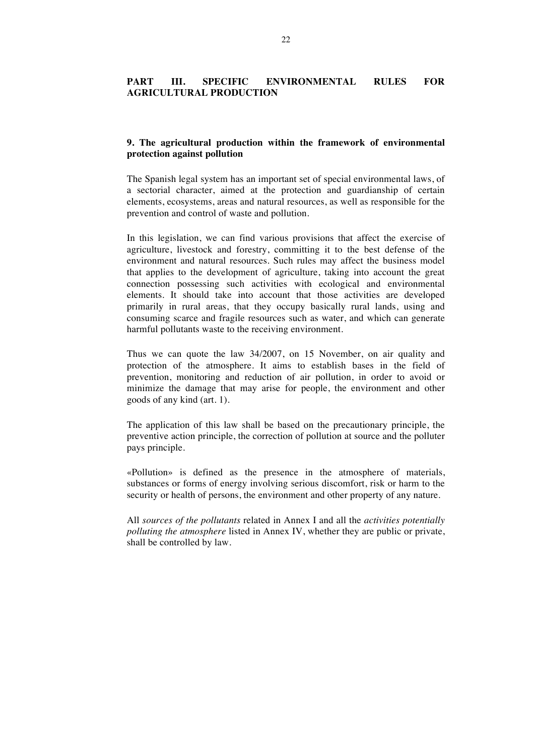# **PART III. SPECIFIC ENVIRONMENTAL RULES FOR AGRICULTURAL PRODUCTION**

### **9. The agricultural production within the framework of environmental protection against pollution**

The Spanish legal system has an important set of special environmental laws, of a sectorial character, aimed at the protection and guardianship of certain elements, ecosystems, areas and natural resources, as well as responsible for the prevention and control of waste and pollution.

In this legislation, we can find various provisions that affect the exercise of agriculture, livestock and forestry, committing it to the best defense of the environment and natural resources. Such rules may affect the business model that applies to the development of agriculture, taking into account the great connection possessing such activities with ecological and environmental elements. It should take into account that those activities are developed primarily in rural areas, that they occupy basically rural lands, using and consuming scarce and fragile resources such as water, and which can generate harmful pollutants waste to the receiving environment.

Thus we can quote the law 34/2007, on 15 November, on air quality and protection of the atmosphere. It aims to establish bases in the field of prevention, monitoring and reduction of air pollution, in order to avoid or minimize the damage that may arise for people, the environment and other goods of any kind (art. 1).

The application of this law shall be based on the precautionary principle, the preventive action principle, the correction of pollution at source and the polluter pays principle.

«Pollution» is defined as the presence in the atmosphere of materials, substances or forms of energy involving serious discomfort, risk or harm to the security or health of persons, the environment and other property of any nature.

All *sources of the pollutants* related in Annex I and all the *activities potentially polluting the atmosphere* listed in Annex IV, whether they are public or private, shall be controlled by law.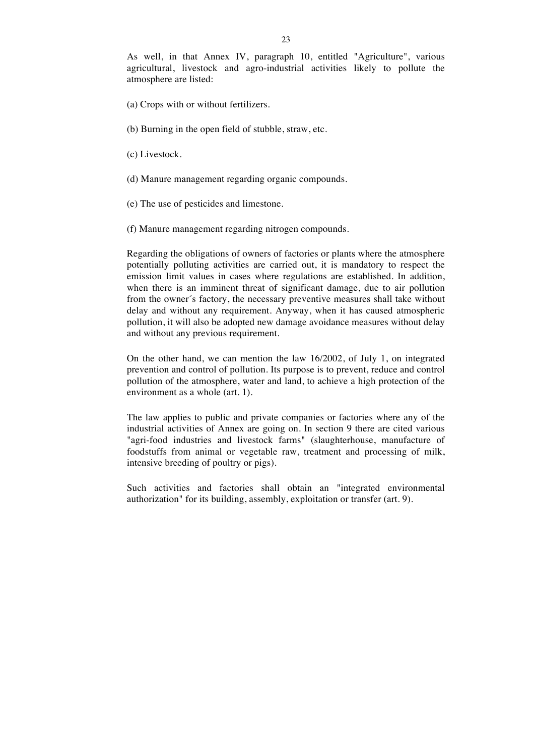As well, in that Annex IV, paragraph 10, entitled "Agriculture", various agricultural, livestock and agro-industrial activities likely to pollute the atmosphere are listed:

- (a) Crops with or without fertilizers.
- (b) Burning in the open field of stubble, straw, etc.
- (c) Livestock.
- (d) Manure management regarding organic compounds.
- (e) The use of pesticides and limestone.
- (f) Manure management regarding nitrogen compounds.

Regarding the obligations of owners of factories or plants where the atmosphere potentially polluting activities are carried out, it is mandatory to respect the emission limit values in cases where regulations are established. In addition, when there is an imminent threat of significant damage, due to air pollution from the owner´s factory, the necessary preventive measures shall take without delay and without any requirement. Anyway, when it has caused atmospheric pollution, it will also be adopted new damage avoidance measures without delay and without any previous requirement.

On the other hand, we can mention the law 16/2002, of July 1, on integrated prevention and control of pollution. Its purpose is to prevent, reduce and control pollution of the atmosphere, water and land, to achieve a high protection of the environment as a whole (art. 1).

The law applies to public and private companies or factories where any of the industrial activities of Annex are going on. In section 9 there are cited various "agri-food industries and livestock farms" (slaughterhouse, manufacture of foodstuffs from animal or vegetable raw, treatment and processing of milk, intensive breeding of poultry or pigs).

Such activities and factories shall obtain an "integrated environmental authorization" for its building, assembly, exploitation or transfer (art. 9).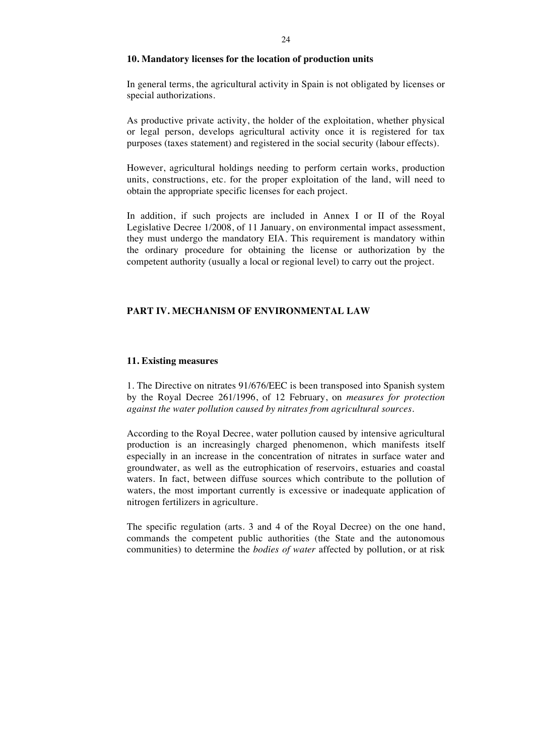#### **10. Mandatory licenses for the location of production units**

In general terms, the agricultural activity in Spain is not obligated by licenses or special authorizations.

As productive private activity, the holder of the exploitation, whether physical or legal person, develops agricultural activity once it is registered for tax purposes (taxes statement) and registered in the social security (labour effects).

However, agricultural holdings needing to perform certain works, production units, constructions, etc. for the proper exploitation of the land, will need to obtain the appropriate specific licenses for each project.

In addition, if such projects are included in Annex I or II of the Royal Legislative Decree 1/2008, of 11 January, on environmental impact assessment, they must undergo the mandatory EIA. This requirement is mandatory within the ordinary procedure for obtaining the license or authorization by the competent authority (usually a local or regional level) to carry out the project.

## **PART IV. MECHANISM OF ENVIRONMENTAL LAW**

#### **11. Existing measures**

1. The Directive on nitrates 91/676/EEC is been transposed into Spanish system by the Royal Decree 261/1996, of 12 February, on *measures for protection against the water pollution caused by nitrates from agricultural sources.*

According to the Royal Decree, water pollution caused by intensive agricultural production is an increasingly charged phenomenon, which manifests itself especially in an increase in the concentration of nitrates in surface water and groundwater, as well as the eutrophication of reservoirs, estuaries and coastal waters. In fact, between diffuse sources which contribute to the pollution of waters, the most important currently is excessive or inadequate application of nitrogen fertilizers in agriculture.

The specific regulation (arts. 3 and 4 of the Royal Decree) on the one hand, commands the competent public authorities (the State and the autonomous communities) to determine the *bodies of water* affected by pollution, or at risk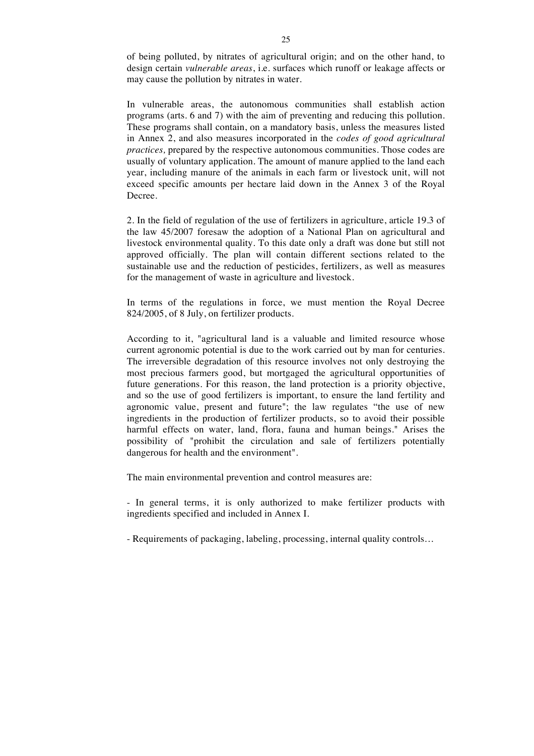of being polluted, by nitrates of agricultural origin; and on the other hand, to design certain *vulnerable areas*, i.e. surfaces which runoff or leakage affects or may cause the pollution by nitrates in water.

In vulnerable areas, the autonomous communities shall establish action programs (arts. 6 and 7) with the aim of preventing and reducing this pollution. These programs shall contain, on a mandatory basis, unless the measures listed in Annex 2, and also measures incorporated in the *codes of good agricultural practices,* prepared by the respective autonomous communities. Those codes are usually of voluntary application. The amount of manure applied to the land each year, including manure of the animals in each farm or livestock unit, will not exceed specific amounts per hectare laid down in the Annex 3 of the Royal Decree.

2. In the field of regulation of the use of fertilizers in agriculture, article 19.3 of the law 45/2007 foresaw the adoption of a National Plan on agricultural and livestock environmental quality. To this date only a draft was done but still not approved officially. The plan will contain different sections related to the sustainable use and the reduction of pesticides, fertilizers, as well as measures for the management of waste in agriculture and livestock.

In terms of the regulations in force, we must mention the Royal Decree 824/2005, of 8 July, on fertilizer products.

According to it, "agricultural land is a valuable and limited resource whose current agronomic potential is due to the work carried out by man for centuries. The irreversible degradation of this resource involves not only destroying the most precious farmers good, but mortgaged the agricultural opportunities of future generations. For this reason, the land protection is a priority objective, and so the use of good fertilizers is important, to ensure the land fertility and agronomic value, present and future"; the law regulates "the use of new ingredients in the production of fertilizer products, so to avoid their possible harmful effects on water, land, flora, fauna and human beings." Arises the possibility of "prohibit the circulation and sale of fertilizers potentially dangerous for health and the environment".

The main environmental prevention and control measures are:

- In general terms, it is only authorized to make fertilizer products with ingredients specified and included in Annex I.

- Requirements of packaging, labeling, processing, internal quality controls…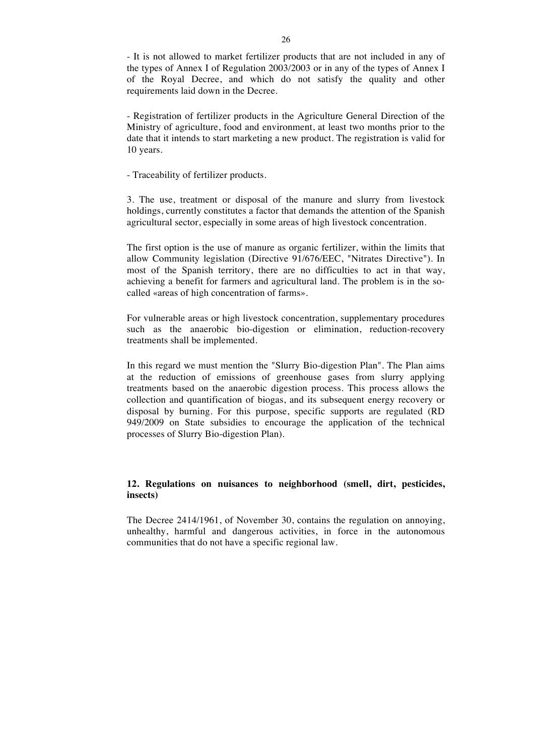- It is not allowed to market fertilizer products that are not included in any of the types of Annex I of Regulation 2003/2003 or in any of the types of Annex I of the Royal Decree, and which do not satisfy the quality and other requirements laid down in the Decree.

- Registration of fertilizer products in the Agriculture General Direction of the Ministry of agriculture, food and environment, at least two months prior to the date that it intends to start marketing a new product. The registration is valid for 10 years.

- Traceability of fertilizer products.

3. The use, treatment or disposal of the manure and slurry from livestock holdings, currently constitutes a factor that demands the attention of the Spanish agricultural sector, especially in some areas of high livestock concentration.

The first option is the use of manure as organic fertilizer, within the limits that allow Community legislation (Directive 91/676/EEC, "Nitrates Directive"). In most of the Spanish territory, there are no difficulties to act in that way, achieving a benefit for farmers and agricultural land. The problem is in the socalled «areas of high concentration of farms».

For vulnerable areas or high livestock concentration, supplementary procedures such as the anaerobic bio-digestion or elimination, reduction-recovery treatments shall be implemented.

In this regard we must mention the "Slurry Bio-digestion Plan". The Plan aims at the reduction of emissions of greenhouse gases from slurry applying treatments based on the anaerobic digestion process. This process allows the collection and quantification of biogas, and its subsequent energy recovery or disposal by burning. For this purpose, specific supports are regulated (RD 949/2009 on State subsidies to encourage the application of the technical processes of Slurry Bio-digestion Plan).

## **12. Regulations on nuisances to neighborhood (smell, dirt, pesticides, insects)**

The Decree 2414/1961, of November 30, contains the regulation on annoying, unhealthy, harmful and dangerous activities, in force in the autonomous communities that do not have a specific regional law.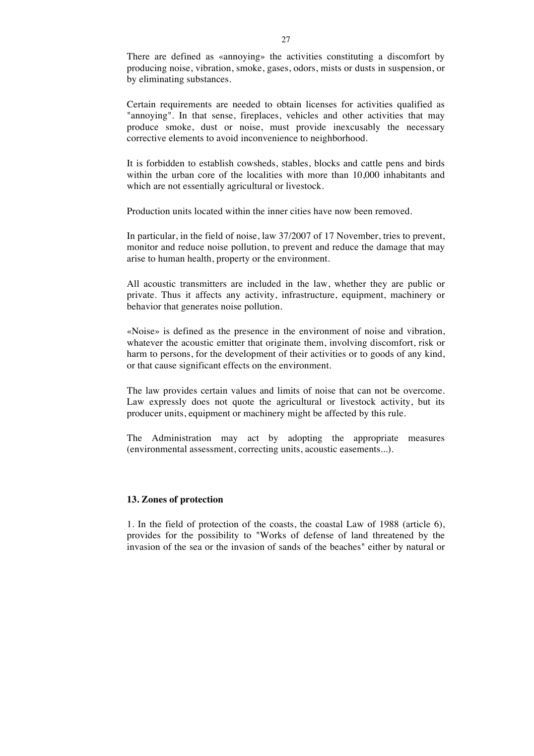There are defined as «annoying» the activities constituting a discomfort by producing noise, vibration, smoke, gases, odors, mists or dusts in suspension, or by eliminating substances.

Certain requirements are needed to obtain licenses for activities qualified as "annoying". In that sense, fireplaces, vehicles and other activities that may produce smoke, dust or noise, must provide inexcusably the necessary corrective elements to avoid inconvenience to neighborhood.

It is forbidden to establish cowsheds, stables, blocks and cattle pens and birds within the urban core of the localities with more than 10,000 inhabitants and which are not essentially agricultural or livestock.

Production units located within the inner cities have now been removed.

In particular, in the field of noise, law 37/2007 of 17 November, tries to prevent, monitor and reduce noise pollution, to prevent and reduce the damage that may arise to human health, property or the environment.

All acoustic transmitters are included in the law, whether they are public or private. Thus it affects any activity, infrastructure, equipment, machinery or behavior that generates noise pollution.

«Noise» is defined as the presence in the environment of noise and vibration, whatever the acoustic emitter that originate them, involving discomfort, risk or harm to persons, for the development of their activities or to goods of any kind, or that cause significant effects on the environment.

The law provides certain values and limits of noise that can not be overcome. Law expressly does not quote the agricultural or livestock activity, but its producer units, equipment or machinery might be affected by this rule.

The Administration may act by adopting the appropriate measures (environmental assessment, correcting units, acoustic easements...).

#### **13. Zones of protection**

1. In the field of protection of the coasts, the coastal Law of 1988 (article 6), provides for the possibility to "Works of defense of land threatened by the invasion of the sea or the invasion of sands of the beaches" either by natural or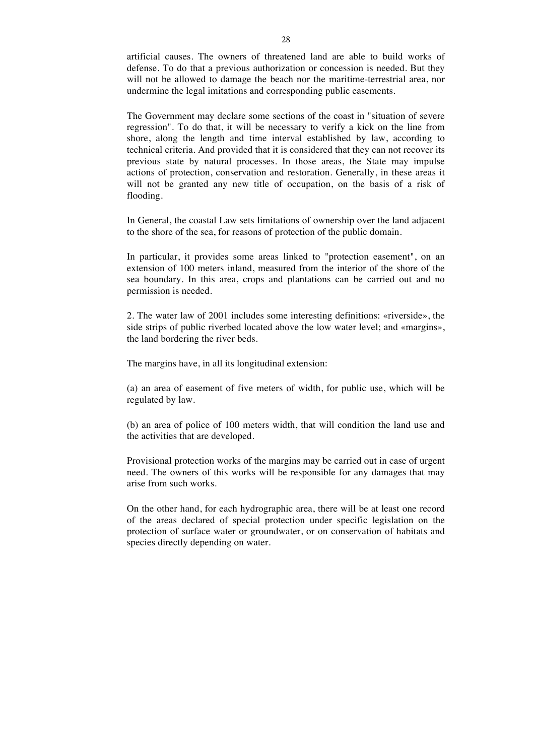artificial causes. The owners of threatened land are able to build works of defense. To do that a previous authorization or concession is needed. But they will not be allowed to damage the beach nor the maritime-terrestrial area, nor undermine the legal imitations and corresponding public easements.

The Government may declare some sections of the coast in "situation of severe regression". To do that, it will be necessary to verify a kick on the line from shore, along the length and time interval established by law, according to technical criteria. And provided that it is considered that they can not recover its previous state by natural processes. In those areas, the State may impulse actions of protection, conservation and restoration. Generally, in these areas it will not be granted any new title of occupation, on the basis of a risk of flooding.

In General, the coastal Law sets limitations of ownership over the land adjacent to the shore of the sea, for reasons of protection of the public domain.

In particular, it provides some areas linked to "protection easement", on an extension of 100 meters inland, measured from the interior of the shore of the sea boundary. In this area, crops and plantations can be carried out and no permission is needed.

2. The water law of 2001 includes some interesting definitions: «riverside», the side strips of public riverbed located above the low water level; and «margins», the land bordering the river beds.

The margins have, in all its longitudinal extension:

(a) an area of easement of five meters of width, for public use, which will be regulated by law.

(b) an area of police of 100 meters width, that will condition the land use and the activities that are developed.

Provisional protection works of the margins may be carried out in case of urgent need. The owners of this works will be responsible for any damages that may arise from such works.

On the other hand, for each hydrographic area, there will be at least one record of the areas declared of special protection under specific legislation on the protection of surface water or groundwater, or on conservation of habitats and species directly depending on water.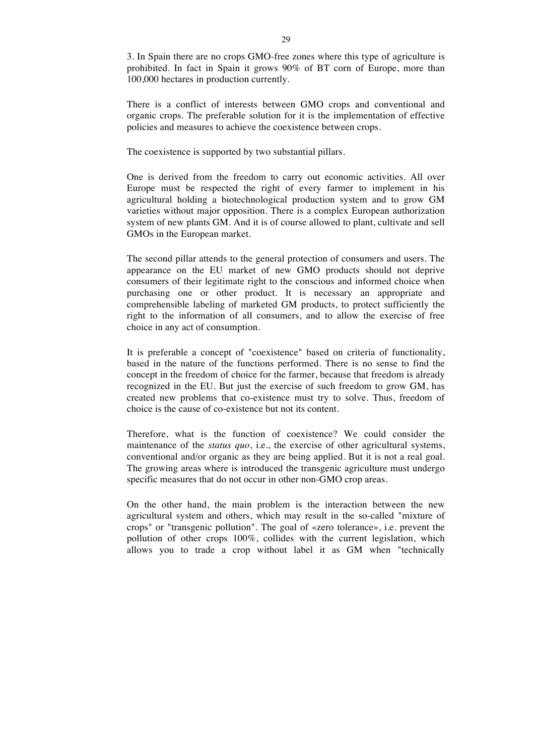3. In Spain there are no crops GMO-free zones where this type of agriculture is prohibited. In fact in Spain it grows 90% of BT corn of Europe, more than 100,000 hectares in production currently.

There is a conflict of interests between GMO crops and conventional and organic crops. The preferable solution for it is the implementation of effective policies and measures to achieve the coexistence between crops.

The coexistence is supported by two substantial pillars.

One is derived from the freedom to carry out economic activities. All over Europe must be respected the right of every farmer to implement in his agricultural holding a biotechnological production system and to grow GM varieties without major opposition. There is a complex European authorization system of new plants GM. And it is of course allowed to plant, cultivate and sell GMOs in the European market.

The second pillar attends to the general protection of consumers and users. The appearance on the EU market of new GMO products should not deprive consumers of their legitimate right to the conscious and informed choice when purchasing one or other product. It is necessary an appropriate and comprehensible labeling of marketed GM products, to protect sufficiently the right to the information of all consumers, and to allow the exercise of free choice in any act of consumption.

It is preferable a concept of "coexistence" based on criteria of functionality, based in the nature of the functions performed. There is no sense to find the concept in the freedom of choice for the farmer, because that freedom is already recognized in the EU. But just the exercise of such freedom to grow GM, has created new problems that co-existence must try to solve. Thus, freedom of choice is the cause of co-existence but not its content.

Therefore, what is the function of coexistence? We could consider the maintenance of the *status quo*, i.e., the exercise of other agricultural systems, conventional and/or organic as they are being applied. But it is not a real goal. The growing areas where is introduced the transgenic agriculture must undergo specific measures that do not occur in other non-GMO crop areas.

On the other hand, the main problem is the interaction between the new agricultural system and others, which may result in the so-called "mixture of crops" or "transgenic pollution". The goal of «zero tolerance», i.e. prevent the pollution of other crops 100%, collides with the current legislation, which allows you to trade a crop without label it as GM when "technically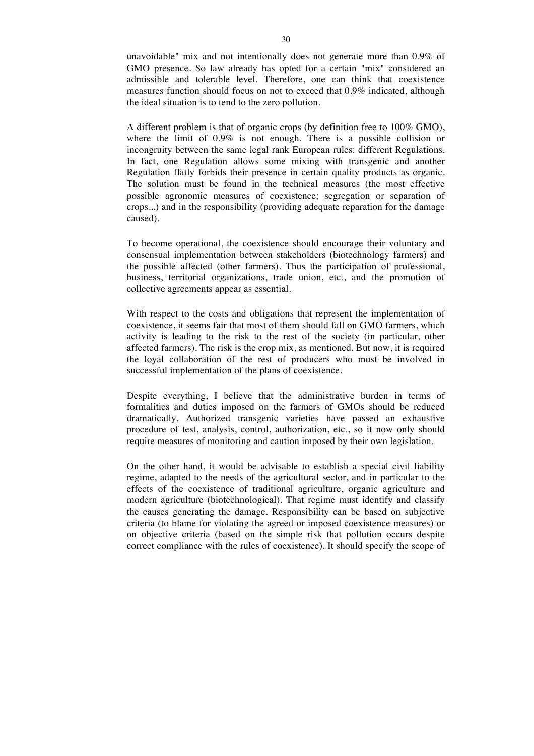unavoidable" mix and not intentionally does not generate more than 0.9% of GMO presence. So law already has opted for a certain "mix" considered an admissible and tolerable level. Therefore, one can think that coexistence measures function should focus on not to exceed that 0.9% indicated, although the ideal situation is to tend to the zero pollution.

A different problem is that of organic crops (by definition free to 100% GMO), where the limit of 0.9% is not enough. There is a possible collision or incongruity between the same legal rank European rules: different Regulations. In fact, one Regulation allows some mixing with transgenic and another Regulation flatly forbids their presence in certain quality products as organic. The solution must be found in the technical measures (the most effective possible agronomic measures of coexistence; segregation or separation of crops...) and in the responsibility (providing adequate reparation for the damage caused).

To become operational, the coexistence should encourage their voluntary and consensual implementation between stakeholders (biotechnology farmers) and the possible affected (other farmers). Thus the participation of professional, business, territorial organizations, trade union, etc., and the promotion of collective agreements appear as essential.

With respect to the costs and obligations that represent the implementation of coexistence, it seems fair that most of them should fall on GMO farmers, which activity is leading to the risk to the rest of the society (in particular, other affected farmers). The risk is the crop mix, as mentioned. But now, it is required the loyal collaboration of the rest of producers who must be involved in successful implementation of the plans of coexistence.

Despite everything, I believe that the administrative burden in terms of formalities and duties imposed on the farmers of GMOs should be reduced dramatically. Authorized transgenic varieties have passed an exhaustive procedure of test, analysis, control, authorization, etc., so it now only should require measures of monitoring and caution imposed by their own legislation*.*

On the other hand, it would be advisable to establish a special civil liability regime, adapted to the needs of the agricultural sector, and in particular to the effects of the coexistence of traditional agriculture, organic agriculture and modern agriculture (biotechnological). That regime must identify and classify the causes generating the damage. Responsibility can be based on subjective criteria (to blame for violating the agreed or imposed coexistence measures) or on objective criteria (based on the simple risk that pollution occurs despite correct compliance with the rules of coexistence). It should specify the scope of